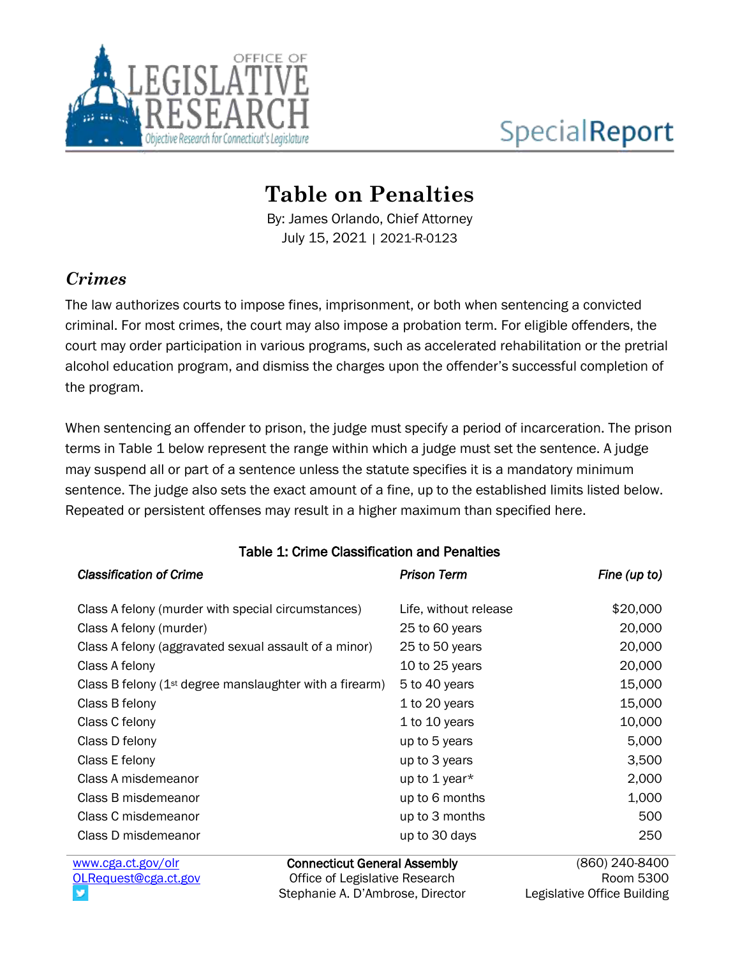

# **SpecialReport**

# **Table on Penalties**

By: James Orlando, Chief Attorney July 15, 2021 | 2021-R-0123

# *Crimes*

The law authorizes courts to impose fines, imprisonment, or both when sentencing a convicted criminal. For most crimes, the court may also impose a probation term. For eligible offenders, the court may order participation in various programs, such as accelerated rehabilitation or the pretrial alcohol education program, and dismiss the charges upon the offender's successful completion of the program.

When sentencing an offender to prison, the judge must specify a period of incarceration. The prison terms in Table 1 below represent the range within which a judge must set the sentence. A judge may suspend all or part of a sentence unless the statute specifies it is a mandatory minimum sentence. The judge also sets the exact amount of a fine, up to the established limits listed below. Repeated or persistent offenses may result in a higher maximum than specified here.

| <b>Classification of Crime</b>                             | <b>Prison Term</b>    | Fine (up to)     |
|------------------------------------------------------------|-----------------------|------------------|
| Class A felony (murder with special circumstances)         | Life, without release | \$20,000         |
| Class A felony (murder)                                    | 25 to 60 years        | 20,000           |
| Class A felony (aggravated sexual assault of a minor)      | 25 to 50 years        | 20,000           |
| Class A felony                                             | 10 to 25 years        | 20,000           |
| Class B felony ( $1st$ degree manslaughter with a firearm) | 5 to 40 years         | 15,000           |
| Class B felony                                             | 1 to 20 years         | 15,000           |
| Class C felony                                             | 1 to 10 years         | 10,000           |
| Class D felony                                             | up to 5 years         | 5,000            |
| Class E felony                                             | up to 3 years         | 3,500            |
| Class A misdemeanor                                        | up to 1 year*         | 2,000            |
| Class B misdemeanor                                        | up to 6 months        | 1,000            |
| Class C misdemeanor                                        | up to 3 months        | 500              |
| Class D misdemeanor                                        | up to 30 days         | 250              |
| Connecticut Ceneral Accombly<br>$mnnu$ and at $60v/$       |                       | $(860)$ 210 8100 |

#### Table 1: Crime Classification and Penalties

[www.cga.ct.gov/olr](http://www.cga.ct.gov/olr) [OLRequest@cga.ct.gov](mailto:OLRequest@cga.ct.gov)

Connecticut General Assembly Office of Legislative Research Stephanie A. D'Ambrose, Director

(860) 240-840 Room 5300 Legislative Office Building